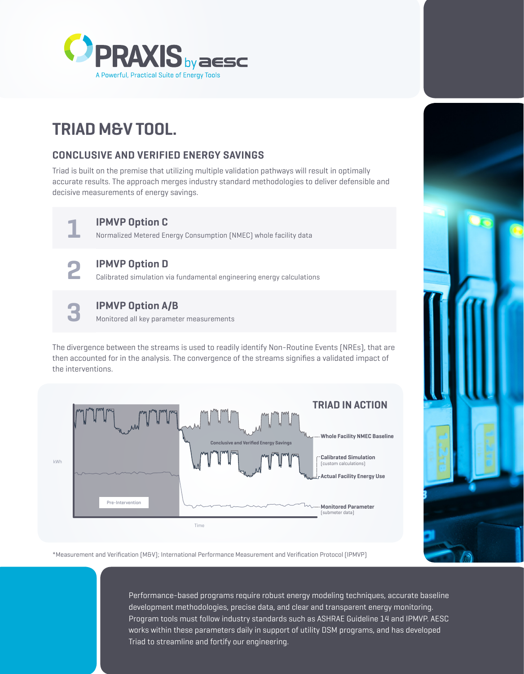

# **TRIAD M&V TOOL.**

## **CONCLUSIVE AND VERIFIED ENERGY SAVINGS**

Triad is built on the premise that utilizing multiple validation pathways will result in optimally accurate results. The approach merges industry standard methodologies to deliver defensible and decisive measurements of energy savings.



#### **1 IPMVP Option C**

Normalized Metered Energy Consumption (NMEC) whole facility data



# **2 IPMVP Option D**

Calibrated simulation via fundamental engineering energy calculations



### **3 IPMVP Option A/B**

Monitored all key parameter measurements

The divergence between the streams is used to readily identify Non-Routine Events (NREs), that are then accounted for in the analysis. The convergence of the streams signifies a validated impact of the interventions.



\*Measurement and Verification (M&V); International Performance Measurement and Verification Protocol (IPMVP)

Performance-based programs require robust energy modeling techniques, accurate baseline development methodologies, precise data, and clear and transparent energy monitoring. Program tools must follow industry standards such as ASHRAE Guideline 14 and IPMVP. AESC works within these parameters daily in support of utility DSM programs, and has developed Triad to streamline and fortify our engineering.